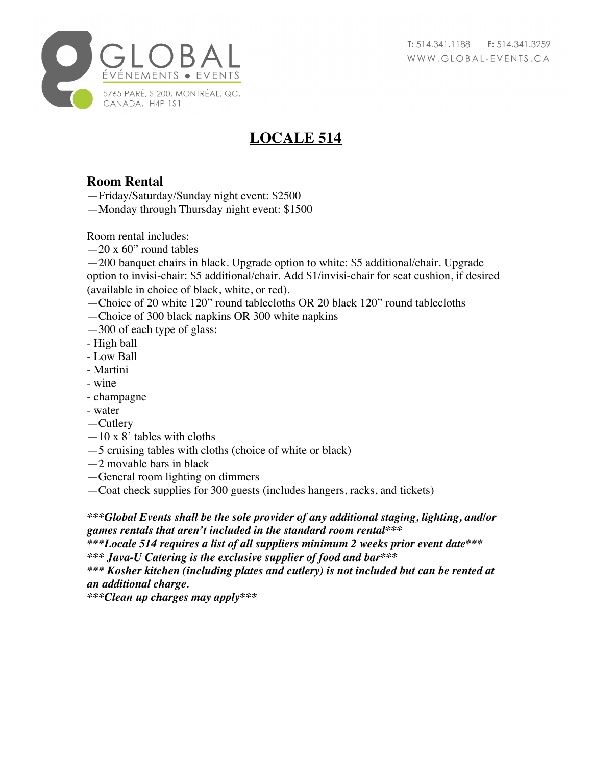

## **LOCALE 514**

## **Room Rental**

—Friday/Saturday/Sunday night event: \$2500

—Monday through Thursday night event: \$1500

Room rental includes:

 $-20 \times 60$ " round tables

—200 banquet chairs in black. Upgrade option to white: \$5 additional/chair. Upgrade option to invisi-chair: \$5 additional/chair. Add \$1/invisi-chair for seat cushion, if desired (available in choice of black, white, or red).

- —Choice of 20 white 120" round tablecloths OR 20 black 120" round tablecloths
- —Choice of 300 black napkins OR 300 white napkins
- —300 of each type of glass:
- High ball
- Low Ball
- Martini
- wine
- champagne
- water
- —Cutlery
- $-10 \times 8'$  tables with cloths
- —5 cruising tables with cloths (choice of white or black)
- $-2$  movable bars in black
- —General room lighting on dimmers
- —Coat check supplies for 300 guests (includes hangers, racks, and tickets)

*\*\*\*Global Events shall be the sole provider of any additional staging, lighting, and/or games rentals that aren't included in the standard room rental\*\*\** 

*\*\*\*Locale 514 requires a list of all suppliers minimum 2 weeks prior event date\*\*\* \*\*\* Java-U Catering is the exclusive supplier of food and bar\*\*\**

*\*\*\* Kosher kitchen (including plates and cutlery) is not included but can be rented at an additional charge.*

*\*\*\*Clean up charges may apply\*\*\**